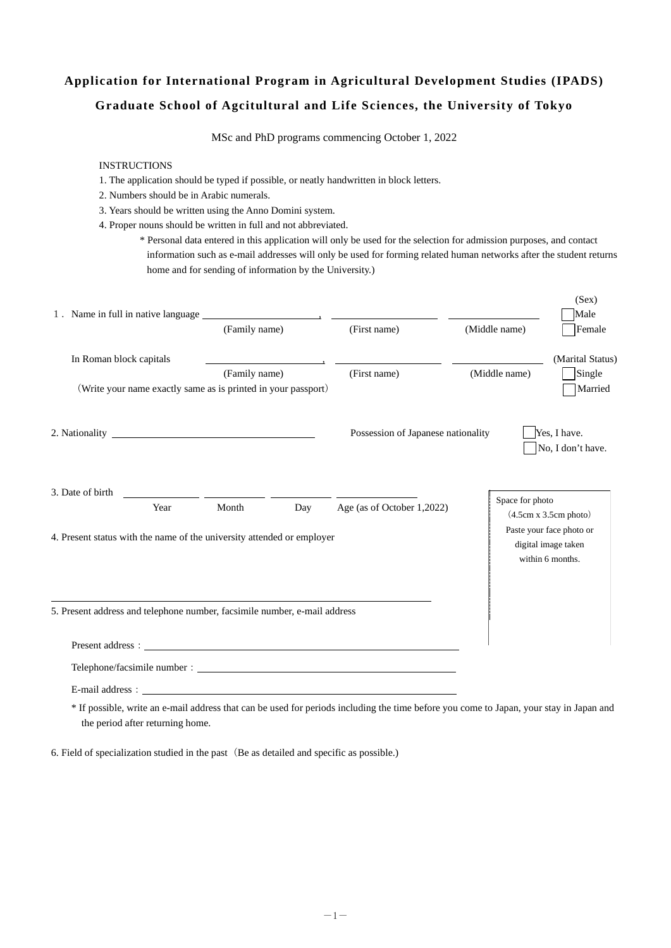# **Application for International Program in Agricultural Development Studies (IPADS) Graduate School of Agcitultural and Life Sciences, the University of Tokyo**

MSc and PhD programs commencing October 1, 2022

#### INSTRUCTIONS

- 1. The application should be typed if possible, or neatly handwritten in block letters.
- 2. Numbers should be in Arabic numerals.
- 3. Years should be written using the Anno Domini system.
- 4. Proper nouns should be written in full and not abbreviated.
	- \* Personal data entered in this application will only be used for the selection for admission purposes, and contact information such as e-mail addresses will only be used for forming related human networks after the student returns home and for sending of information by the University.)

|                                                                           |      |                                                               |                                                                                 |                                    |                 | (Sex)                                                               |
|---------------------------------------------------------------------------|------|---------------------------------------------------------------|---------------------------------------------------------------------------------|------------------------------------|-----------------|---------------------------------------------------------------------|
|                                                                           |      |                                                               |                                                                                 |                                    |                 | Male                                                                |
|                                                                           |      | (Family name)                                                 |                                                                                 | (First name)                       | (Middle name)   | Female                                                              |
| In Roman block capitals                                                   |      |                                                               | the contract of the contract of the contract of the contract of the contract of |                                    |                 | (Marital Status)                                                    |
|                                                                           |      | (Family name)                                                 |                                                                                 | (First name)                       | (Middle name)   | Single                                                              |
|                                                                           |      | (Write your name exactly same as is printed in your passport) |                                                                                 |                                    |                 | Married                                                             |
|                                                                           |      |                                                               |                                                                                 | Possession of Japanese nationality |                 | Yes, I have.<br>No, I don't have.                                   |
| 3. Date of birth                                                          | Year | Month                                                         | Day                                                                             | Age (as of October 1,2022)         | Space for photo | (4.5cm x 3.5cm photo)                                               |
| 4. Present status with the name of the university attended or employer    |      |                                                               |                                                                                 |                                    |                 | Paste your face photo or<br>digital image taken<br>within 6 months. |
| 5. Present address and telephone number, facsimile number, e-mail address |      |                                                               |                                                                                 |                                    |                 |                                                                     |
|                                                                           |      |                                                               |                                                                                 | Present address:                   |                 |                                                                     |
|                                                                           |      |                                                               |                                                                                 |                                    |                 |                                                                     |
|                                                                           |      |                                                               |                                                                                 |                                    |                 |                                                                     |

 \* If possible, write an e-mail address that can be used for periods including the time before you come to Japan, your stay in Japan and the period after returning home.

6. Field of specialization studied in the past (Be as detailed and specific as possible.)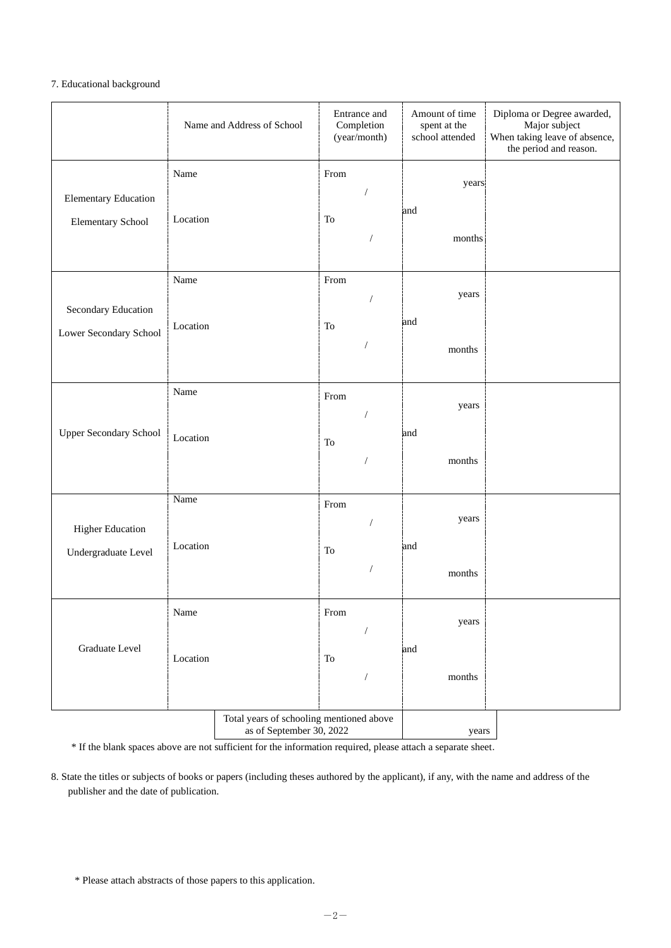## 7. Educational background

|                               |          | Name and Address of School                                           |      | Entrance and<br>Completion<br>(year/month) | Amount of time<br>spent at the<br>school attended | Diploma or Degree awarded,<br>Major subject<br>When taking leave of absence,<br>the period and reason. |
|-------------------------------|----------|----------------------------------------------------------------------|------|--------------------------------------------|---------------------------------------------------|--------------------------------------------------------------------------------------------------------|
| <b>Elementary Education</b>   | Name     |                                                                      | From |                                            | years<br>and                                      |                                                                                                        |
| Elementary School             | Location |                                                                      | To   |                                            | months                                            |                                                                                                        |
| Secondary Education           | Name     |                                                                      | From | 7                                          | years                                             |                                                                                                        |
| Lower Secondary School        | Location |                                                                      | To   | $\sqrt{2}$                                 | and<br>months                                     |                                                                                                        |
|                               | Name     |                                                                      | From |                                            | years                                             |                                                                                                        |
| <b>Upper Secondary School</b> | Location |                                                                      | To   |                                            | and<br>months                                     |                                                                                                        |
| <b>Higher Education</b>       | Name     |                                                                      | From |                                            | years                                             |                                                                                                        |
| Undergraduate Level           | Location |                                                                      | To   |                                            | and                                               |                                                                                                        |
|                               |          |                                                                      |      | /                                          | months                                            |                                                                                                        |
|                               | Name     |                                                                      | From |                                            | years                                             |                                                                                                        |
| Graduate Level                | Location |                                                                      | To   | 1                                          | and<br>months                                     |                                                                                                        |
|                               |          | Total years of schooling mentioned above<br>as of September 30, 2022 |      |                                            | years                                             |                                                                                                        |

\* If the blank spaces above are not sufficient for the information required, please attach a separate sheet.

8. State the titles or subjects of books or papers (including theses authored by the applicant), if any, with the name and address of the publisher and the date of publication.

<sup>\*</sup> Please attach abstracts of those papers to this application.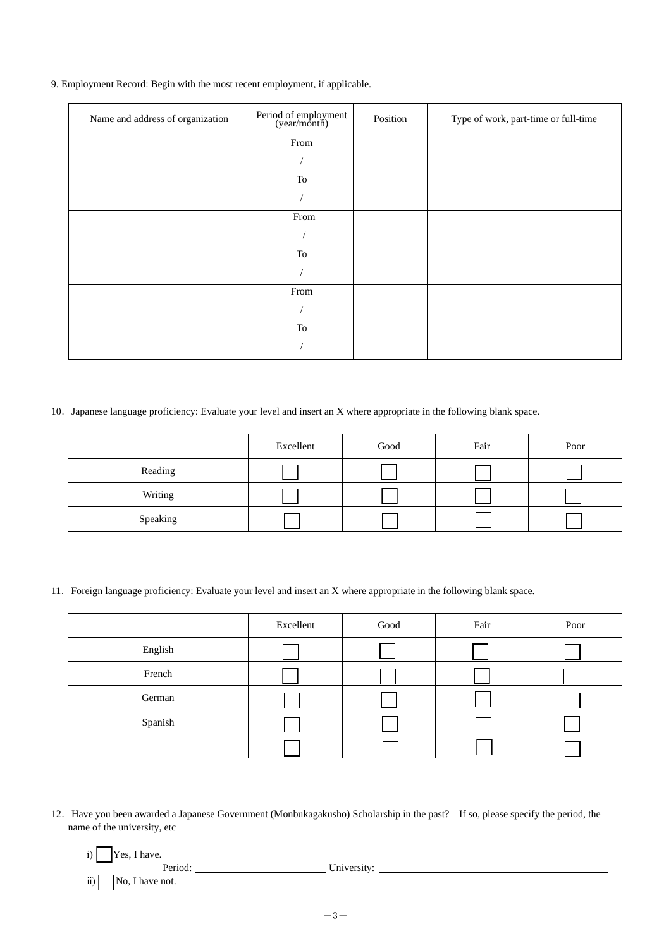9. Employment Record: Begin with the most recent employment, if applicable.

| Name and address of organization | Period of employment<br>(year/month) | Position | Type of work, part-time or full-time |
|----------------------------------|--------------------------------------|----------|--------------------------------------|
|                                  | From                                 |          |                                      |
|                                  |                                      |          |                                      |
|                                  | To                                   |          |                                      |
|                                  |                                      |          |                                      |
|                                  | From                                 |          |                                      |
|                                  |                                      |          |                                      |
|                                  | To                                   |          |                                      |
|                                  |                                      |          |                                      |
|                                  | From                                 |          |                                      |
|                                  |                                      |          |                                      |
|                                  | To                                   |          |                                      |
|                                  |                                      |          |                                      |

### 10. Japanese language proficiency: Evaluate your level and insert an X where appropriate in the following blank space.

|          | Excellent | Good | Fair | Poor |
|----------|-----------|------|------|------|
| Reading  |           |      |      |      |
| Writing  |           |      |      |      |
| Speaking |           |      |      |      |

11.Foreign language proficiency: Evaluate your level and insert an X where appropriate in the following blank space.

|         | Excellent | Good | Fair | Poor |
|---------|-----------|------|------|------|
| English |           |      |      |      |
| French  |           |      |      |      |
| German  |           |      |      |      |
| Spanish |           |      |      |      |
|         |           |      |      |      |

- 12.Have you been awarded a Japanese Government (Monbukagakusho) Scholarship in the past? If so, please specify the period, the name of the university, etc
	- i)  $\boxed{\phantom{1}}$  Yes, I have.

Period: <u>Period: University:</u> University: <u>University:</u> ii)  $\Box$  No, I have not.